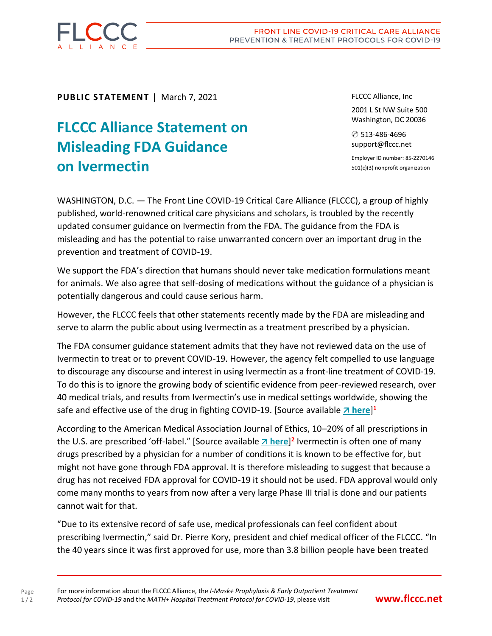

**PUBLIC STATEMENT** | March 7, 2021

## **FLCCC Alliance Statement on Misleading FDA Guidance on Ivermectin**

FLCCC Alliance, Inc

2001 L St NW Suite 500 Washington, DC 20036

✆ 513-486-4696 support@flccc.net

Employer ID number: 85-2270146 501(c)(3) nonprofit organization

WASHINGTON, D.C. — The Front Line COVID-19 Critical Care Alliance (FLCCC), a group of highly published, world-renowned critical care physicians and scholars, is troubled by the recently updated consumer guidance on Ivermectin from the FDA. The guidance from the FDA is misleading and has the potential to raise unwarranted concern over an important drug in the prevention and treatment of COVID-19.

We support the FDA's direction that humans should never take medication formulations meant for animals. We also agree that self-dosing of medications without the guidance of a physician is potentially dangerous and could cause serious harm.

However, the FLCCC feels that other statements recently made by the FDA are misleading and serve to alarm the public about using Ivermectin as a treatment prescribed by a physician.

The FDA consumer guidance statement admits that they have not reviewed data on the use of Ivermectin to treat or to prevent COVID-19. However, the agency felt compelled to use language to discourage any discourse and interest in using Ivermectin as a front-line treatment of COVID-19. To do this is to ignore the growing body of scientific evidence from peer-reviewed research, over 40 medical trials, and results from Ivermectin's use in medical settings worldwide, showing the safe and effective use of the drug in fighting COVID-19. [Source available  $\overline{A}$  [here](https://covid19criticalcare.com/one-page-summary-of-the-clinical-trials-evidence-for-ivermectin-in-covid-19/)]<sup>1</sup>

According to the American Medical Association Journal of Ethics, 10–20% of all prescriptions in the U.S. are prescribed 'off-label." [Source available *n* **[here](https://journalofethics.ama-assn.org/article/prescribing-label-what-should-physician-disclose/2016-06#:~:text=Once%20a%20drug%20is%20FDA,1%2C%202%2C%205%5D.)**]<sup>2</sup> Ivermectin is often one of many drugs prescribed by a physician for a number of conditions it is known to be effective for, but might not have gone through FDA approval. It is therefore misleading to suggest that because a drug has not received FDA approval for COVID-19 it should not be used. FDA approval would only come many months to years from now after a very large Phase III trial is done and our patients cannot wait for that.

"Due to its extensive record of safe use, medical professionals can feel confident about prescribing Ivermectin," said Dr. Pierre Kory, president and chief medical officer of the FLCCC. "In the 40 years since it was first approved for use, more than 3.8 billion people have been treated